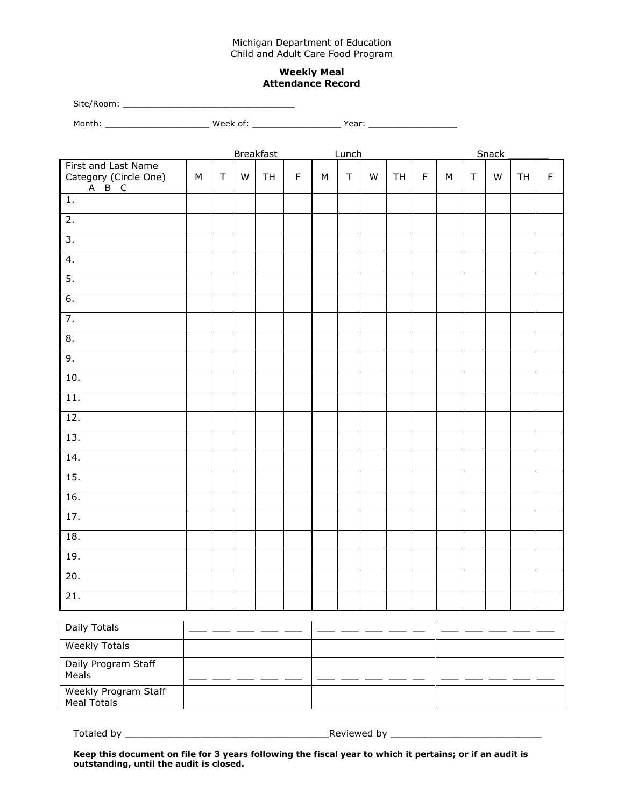## Michigan Department of Education Child and Adult Care Food Program

## **Weekly Meal Attendance Record**

| Site/Room: |          |       |
|------------|----------|-------|
| Month:     | Week of: | Year: |

|                                                                                              | <b>Breakfast</b> |        |   |           |             | Lunch     |        |   |    |             | Snack     |             |   |    |             |  |
|----------------------------------------------------------------------------------------------|------------------|--------|---|-----------|-------------|-----------|--------|---|----|-------------|-----------|-------------|---|----|-------------|--|
| First and Last Name<br>Category (Circle One)<br>$\overline{A}$ $\overline{B}$ $\overline{C}$ | ${\sf M}$        | $\top$ | W | <b>TH</b> | $\mathsf F$ | ${\sf M}$ | $\top$ | W | TH | $\mathsf F$ | ${\sf M}$ | $\mathsf T$ | W | TH | $\mathsf F$ |  |
| $\overline{1}$ .                                                                             |                  |        |   |           |             |           |        |   |    |             |           |             |   |    |             |  |
| $\overline{2}$ .                                                                             |                  |        |   |           |             |           |        |   |    |             |           |             |   |    |             |  |
| $\overline{3}$ .                                                                             |                  |        |   |           |             |           |        |   |    |             |           |             |   |    |             |  |
| $\overline{4}$ .                                                                             |                  |        |   |           |             |           |        |   |    |             |           |             |   |    |             |  |
| $\overline{5}$ .                                                                             |                  |        |   |           |             |           |        |   |    |             |           |             |   |    |             |  |
| 6.                                                                                           |                  |        |   |           |             |           |        |   |    |             |           |             |   |    |             |  |
| 7.                                                                                           |                  |        |   |           |             |           |        |   |    |             |           |             |   |    |             |  |
| $\overline{8}$ .                                                                             |                  |        |   |           |             |           |        |   |    |             |           |             |   |    |             |  |
| 9.<br>10.                                                                                    |                  |        |   |           |             |           |        |   |    |             |           |             |   |    |             |  |
| $\overline{11}$ .                                                                            |                  |        |   |           |             |           |        |   |    |             |           |             |   |    |             |  |
| 12.                                                                                          |                  |        |   |           |             |           |        |   |    |             |           |             |   |    |             |  |
| 13.                                                                                          |                  |        |   |           |             |           |        |   |    |             |           |             |   |    |             |  |
| 14.                                                                                          |                  |        |   |           |             |           |        |   |    |             |           |             |   |    |             |  |
| 15.                                                                                          |                  |        |   |           |             |           |        |   |    |             |           |             |   |    |             |  |
| 16.                                                                                          |                  |        |   |           |             |           |        |   |    |             |           |             |   |    |             |  |
| 17.                                                                                          |                  |        |   |           |             |           |        |   |    |             |           |             |   |    |             |  |
| 18.                                                                                          |                  |        |   |           |             |           |        |   |    |             |           |             |   |    |             |  |
| 19.                                                                                          |                  |        |   |           |             |           |        |   |    |             |           |             |   |    |             |  |
| 20.                                                                                          |                  |        |   |           |             |           |        |   |    |             |           |             |   |    |             |  |
| 21.                                                                                          |                  |        |   |           |             |           |        |   |    |             |           |             |   |    |             |  |

| Daily Totals                               |  |  |
|--------------------------------------------|--|--|
| <b>Weekly Totals</b>                       |  |  |
| Daily Program Staff<br>Meals               |  |  |
| Weekly Program Staff<br><b>Meal Totals</b> |  |  |

Totaled by \_\_\_\_\_\_\_\_\_\_\_\_\_\_\_\_\_\_\_\_\_\_\_\_\_\_\_\_\_\_\_\_\_\_\_Reviewed by \_\_\_\_\_\_\_\_\_\_\_\_\_\_\_\_\_\_\_\_\_\_\_\_\_\_

**Keep this document on file for 3 years following the fiscal year to which it pertains; or if an audit is outstanding, until the audit is closed.**